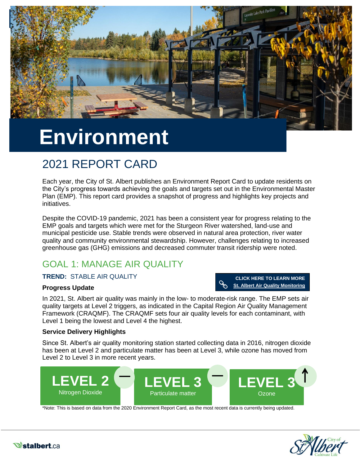

# **Environment**

# 2021 REPORT CARD

Each year, the City of St. Albert publishes an Environment Report Card to update residents on the City's progress towards achieving the goals and targets set out in the Environmental Master Plan (EMP). This report card provides a snapshot of progress and highlights key projects and initiatives.

Despite the COVID-19 pandemic, 2021 has been a consistent year for progress relating to the EMP goals and targets which were met for the Sturgeon River watershed, land-use and municipal pesticide use. Stable trends were observed in natural area protection, river water quality and community environmental stewardship. However, challenges relating to increased greenhouse gas (GHG) emissions and decreased commuter transit ridership were noted.

# GOAL 1: MANAGE AIR QUALITY

### **TREND:** STABLE AIR QUALITY

### **Progress Update**

**CLICK HERE TO LEARN MORE [St. Albert Air Quality Monitoring](https://stalbert.ca/city/environment/air-quality/monitoring/)**

In 2021, St. Albert air quality was mainly in the low- to moderate-risk range. The EMP sets air quality targets at Level 2 triggers, as indicated in the Capital Region Air Quality Management Framework (CRAQMF). The CRAQMF sets four air quality levels for each contaminant, with Level 1 being the lowest and Level 4 the highest.

### **Service Delivery Highlights**

Since St. Albert's air quality monitoring station started collecting data in 2016, nitrogen dioxide has been at Level 2 and particulate matter has been at Level 3, while ozone has moved from Level 2 to Level 3 in more recent years.



\*Note: This is based on data from the 2020 Environment Report Card, as the most recent data is currently being updated.



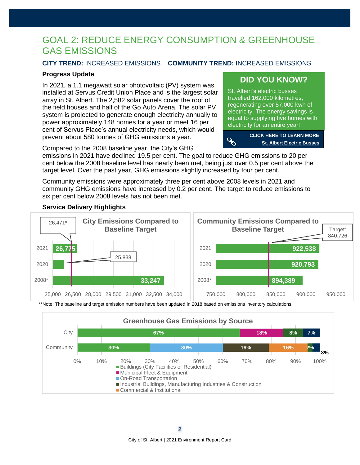# GOAL 2: REDUCE ENERGY CONSUMPTION & GREENHOUSE GAS EMISSIONS

### **CITY TREND:** INCREASED EMISSIONS **COMMUNITY TREND:** INCREASED EMISSIONS

### **Progress Update**

In 2021, a 1.1 megawatt solar photovoltaic (PV) system was installed at Servus Credit Union Place and is the largest solar array in St. Albert. The 2,582 solar panels cover the roof of the field houses and half of the Go Auto Arena. The solar PV system is projected to generate enough electricity annually to power approximately 148 homes for a year or meet 16 per cent of Servus Place's annual electricity needs, which would prevent about 580 tonnes of GHG emissions a year.

### **[DID YOU KNOW?](https://stalbert.ca/site/assets/files/3778/stalbert-urban-forest-management-plan_june-26-2017_1.pdf)**

St. Albert's electric busses travelled 162,000 kilometres, regenerating over 57,000 kwh of electricity. The energy savings is equal to supplying five homes with electricity for an entire year!



Compared to the 2008 baseline year, the City's GHG

emissions in 2021 have declined 19.5 per cent. The goal to reduce GHG emissions to 20 per cent below the 2008 baseline level has nearly been met, being just over 0.5 per cent above the target level. Over the past year, GHG emissions slightly increased by four per cent.

Community emissions were approximately three per cent above 2008 levels in 2021 and community GHG emissions have increased by 0.2 per cent. The target to reduce emissions to six per cent below 2008 levels has not been met.

### **Service Delivery Highlights**



\*\*Note: The baseline and target emission numbers have been updated in 2018 based on emissions inventory calculations.

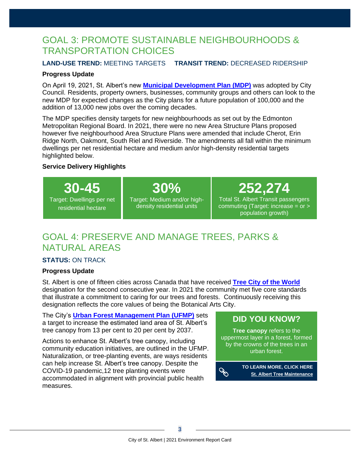# GOAL 3: PROMOTE SUSTAINABLE NEIGHBOURHOODS & TRANSPORTATION CHOICES

### **LAND-USE TREND:** MEETING TARGETS **TRANSIT TREND:** DECREASED RIDERSHIP

### **Progress Update**

On April 19, 2021, St. Albert's new **[Municipal Development Plan \(MDP\)](https://stalbert.ca/dev/mdp/)** was adopted by City Council. Residents, property owners, businesses, community groups and others can look to the new MDP for expected changes as the City plans for a future population of 100,000 and the addition of 13,000 new jobs over the coming decades.

The MDP specifies density targets for new neighbourhoods as set out by the Edmonton Metropolitan Regional Board. In 2021, there were no new Area Structure Plans proposed however five neighbourhood Area Structure Plans were amended that include Cherot, Erin Ridge North, Oakmont, South Riel and Riverside. The amendments all fall within the minimum dwellings per net residential hectare and medium an/or high-density residential targets highlighted below.

### **Service Delivery Highlights**

**30-45**

Target: Dwellings per net residential hectare

**30%** Target: Medium and/or highdensity residential units

**252,274**

Total St. Albert Transit passengers commuting (Target: increase = or > population growth)

# GOAL 4: PRESERVE AND MANAGE TREES, PARKS & NATURAL AREAS

### **STATUS:** ON TRACK

### **Progress Update**

St. Albert is one of fifteen cities across Canada that have received **[Tree City of the World](https://treecitiesoftheworld.org/directory.cfm)** designation for the second consecutive year. In 2021 the community met five core standards that illustrate a commitment to caring for our trees and forests. Continuously receiving this designation reflects the core values of being the Botanical Arts City.

The City's **[Urban Forest Management Plan \(UFMP\)](https://stalbert.ca/site/assets/files/3778/stalbert-urban-forest-management-plan_june-26-2017_1.pdf)** sets a target to increase the estimated land area of St. Albert's tree canopy from 13 per cent to 20 per cent by 2037.

Actions to enhance St. Albert's tree canopy, including community education initiatives, are outlined in the UFMP. Naturalization, or tree-planting events, are ways residents can help increase St. Albert's tree canopy. Despite the COVID-19 pandemic,12 tree planting events were accommodated in alignment with provincial public health measures.

### **[DID YOU KNOW?](https://stalbert.ca/site/assets/files/3778/stalbert-urban-forest-management-plan_june-26-2017_1.pdf)**

**Tree canopy** refers to the uppermost layer in a forest, formed by the crowns of the trees in an urban forest.

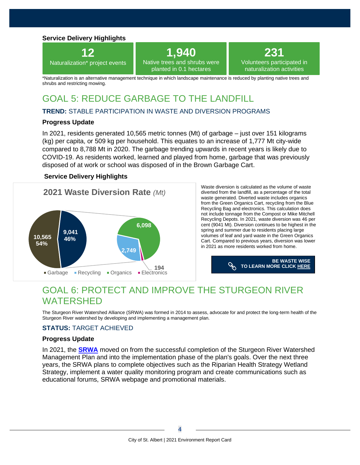### **Service Delivery Highlights**



# **1,940**

Native trees and shrubs were planted in 0.1 hectares

naturalization activities

\*Naturalization is an alternative management technique in which landscape maintenance is reduced by planting native trees and shrubs and restricting mowing.

# GOAL 5: REDUCE GARBAGE TO THE LANDFILL

### **TREND:** STABLE PARTICIPATION IN WASTE AND DIVERSION PROGRAMS

### **Progress Update**

In 2021, residents generated 10,565 metric tonnes (Mt) of garbage – just over 151 kilograms (kg) per capita, or 509 kg per household. This equates to an increase of 1,777 Mt city-wide compared to 8,788 Mt in 2020. The garbage trending upwards in recent years is likely due to COVID-19. As residents worked, learned and played from home, garbage that was previously disposed of at work or school was disposed of in the Brown Garbage Cart.

### **Service Delivery Highlights**



Waste diversion is calculated as the volume of waste diverted from the landfill, as a percentage of the total waste generated. Diverted waste includes organics from the Green Organics Cart, recycling from the Blue Recycling Bag and electronics. This calculation does not include tonnage from the Compost or Mike Mitchell Recycling Depots. In 2021, waste diversion was 46 per cent (9041 Mt). Diversion continues to be highest in the spring and summer due to residents placing large volumes of leaf and yard waste in the Green Organics Cart. Compared to previous years, diversion was lower in 2021 as more residents worked from home.

> **BE WASTE WISE [TO LEARN MORE CLICK HERE](https://stalbert.ca/site/assets/files/2566/2020_waste_and_diversion_programs_annual_report_to_council_-_final.pdf)**

**231** Volunteers participated in

# GOAL 6: PROTECT AND IMPROVE THE STURGEON RIVER WATERSHED

The Sturgeon River Watershed Alliance (SRWA) was formed in 2014 to assess, advocate for and protect the long-term health of the Sturgeon River watershed by developing and implementing a management plan.

### **STATUS:** TARGET ACHIEVED

### **Progress Update**

In 2021, the **[SRWA](https://www.nswa.ab.ca/partnerships-programs/the-sturgeon-river-watershed-alliance/)** moved on from the successful completion of the Sturgeon River Watershed Management Plan and into the implementation phase of the plan's goals. Over the next three years, the SRWA plans to complete objectives such as the Riparian Health Strategy Wetland Strategy, implement a water quality monitoring program and create communications such as educational forums, SRWA webpage and promotional materials.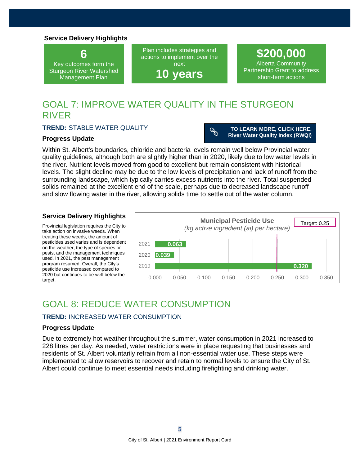### **Service Delivery Highlights**

**6** Key outcomes form the Sturgeon River Watershed Management Plan

Plan includes strategies and actions to implement over the next

**10 years**

**\$200,000** Alberta Community Partnership Grant to address short-term actions

# GOAL 7: IMPROVE WATER QUALITY IN THE STURGEON RIVER

### **TREND:** STABLE WATER QUALITY

#### **Progress Update**

 $\mathscr{S}$ **TO LEARN MORE, CLICK HERE. [River Water Quality Index \(RWQI\)](https://stalbert.ca/city/environment/sturgeon-river/get-to-know/)**

Within St. Albert's boundaries, chloride and bacteria levels remain well below Provincial water quality guidelines, although both are slightly higher than in 2020, likely due to low water levels in the river. Nutrient levels moved from good to excellent but remain consistent with historical levels. The slight decline may be due to the low levels of precipitation and lack of runoff from the surrounding landscape, which typically carries excess nutrients into the river. Total suspended solids remained at the excellent end of the scale, perhaps due to decreased landscape runoff and slow flowing water in the river, allowing solids time to settle out of the water column.

### **Service Delivery Highlights**

Provincial legislation requires the City to take action on invasive weeds. When treating these weeds, the amount of pesticides used varies and is dependent on the weather, the type of species or pests, and the management techniques used. In 2021, the pest management program resumed. Overall, the City's pesticide use increased compared to 2020 but continues to be well below the target.



# GOAL 8: REDUCE WATER CONSUMPTION

### **TREND:** INCREASED WATER CONSUMPTION

#### **Progress Update**

Due to extremely hot weather throughout the summer, water consumption in 2021 increased to 228 litres per day. As needed, water restrictions were in place requesting that businesses and residents of St. Albert voluntarily refrain from all non-essential water use. These steps were implemented to allow reservoirs to recover and retain to normal levels to ensure the City of St. Albert could continue to meet essential needs including firefighting and drinking water.